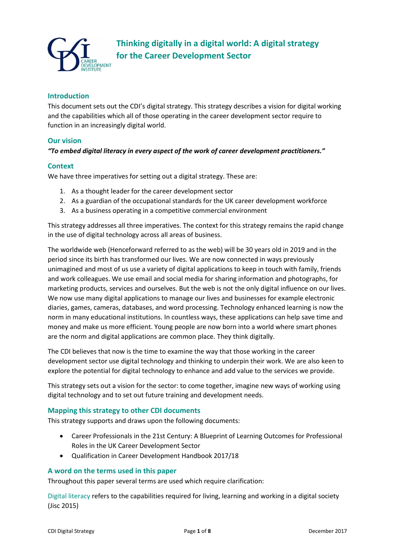

### **Introduction**

This document sets out the CDI's digital strategy. This strategy describes a vision for digital working and the capabilities which all of those operating in the career development sector require to function in an increasingly digital world.

#### **Our vision**

### *"To embed digital literacy in every aspect of the work of career development practitioners."*

#### **Context**

We have three imperatives for setting out a digital strategy. These are:

- 1. As a thought leader for the career development sector
- 2. As a guardian of the occupational standards for the UK career development workforce
- 3. As a business operating in a competitive commercial environment

This strategy addresses all three imperatives. The context for this strategy remains the rapid change in the use of digital technology across all areas of business.

The worldwide web (Henceforward referred to as the web) will be 30 years old in 2019 and in the period since its birth has transformed our lives. We are now connected in ways previously unimagined and most of us use a variety of digital applications to keep in touch with family, friends and work colleagues. We use email and social media for sharing information and photographs, for marketing products, services and ourselves. But the web is not the only digital influence on our lives. We now use many digital applications to manage our lives and businesses for example electronic diaries, games, cameras, databases, and word processing. Technology enhanced learning is now the norm in many educational institutions. In countless ways, these applications can help save time and money and make us more efficient. Young people are now born into a world where smart phones are the norm and digital applications are common place. They think digitally.

The CDI believes that now is the time to examine the way that those working in the career development sector use digital technology and thinking to underpin their work. We are also keen to explore the potential for digital technology to enhance and add value to the services we provide.

This strategy sets out a vision for the sector: to come together, imagine new ways of working using digital technology and to set out future training and development needs.

#### **Mapping this strategy to other CDI documents**

This strategy supports and draws upon the following documents:

- Career Professionals in the 21st Century: A Blueprint of Learning Outcomes for Professional Roles in the UK Career Development Sector
- Qualification in Career Development Handbook 2017/18

### **A word on the terms used in this paper**

Throughout this paper several terms are used which require clarification:

Digital literacy refers to the capabilities required for living, learning and working in a digital society (Jisc 2015)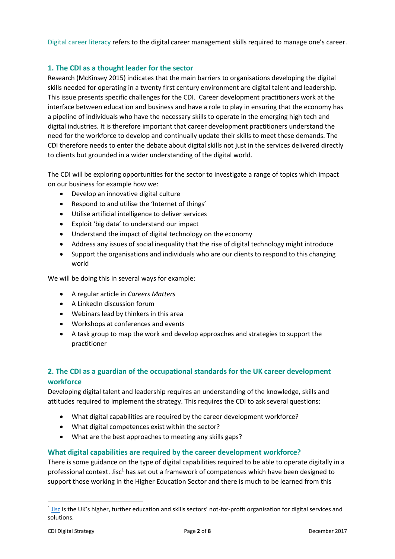Digital career literacy refers to the digital career management skills required to manage one's career.

## **1. The CDI as a thought leader for the sector**

Research (McKinsey 2015) indicates that the main barriers to organisations developing the digital skills needed for operating in a twenty first century environment are digital talent and leadership. This issue presents specific challenges for the CDI. Career development practitioners work at the interface between education and business and have a role to play in ensuring that the economy has a pipeline of individuals who have the necessary skills to operate in the emerging high tech and digital industries. It is therefore important that career development practitioners understand the need for the workforce to develop and continually update their skills to meet these demands. The CDI therefore needs to enter the debate about digital skills not just in the services delivered directly to clients but grounded in a wider understanding of the digital world.

The CDI will be exploring opportunities for the sector to investigate a range of topics which impact on our business for example how we:

- Develop an innovative digital culture
- Respond to and utilise the 'Internet of things'
- Utilise artificial intelligence to deliver services
- Exploit 'big data' to understand our impact
- Understand the impact of digital technology on the economy
- Address any issues of social inequality that the rise of digital technology might introduce
- Support the organisations and individuals who are our clients to respond to this changing world

We will be doing this in several ways for example:

- A regular article in *Careers Matters*
- A LinkedIn discussion forum
- Webinars lead by thinkers in this area
- Workshops at conferences and events
- A task group to map the work and develop approaches and strategies to support the practitioner

# **2. The CDI as a guardian of the occupational standards for the UK career development workforce**

Developing digital talent and leadership requires an understanding of the knowledge, skills and attitudes required to implement the strategy. This requires the CDI to ask several questions:

- What digital capabilities are required by the career development workforce?
- What digital competences exist within the sector?
- What are the best approaches to meeting any skills gaps?

## **What digital capabilities are required by the career development workforce?**

There is some guidance on the type of digital capabilities required to be able to operate digitally in a professional context. Jisc<sup>1</sup> has set out a framework of competences which have been designed to support those working in the Higher Education Sector and there is much to be learned from this

-

<sup>&</sup>lt;sup>1</sup> [Jisc](https://www.jisc.ac.uk/) is the UK's higher, further education and skills sectors' not-for-profit organisation for digital services and solutions.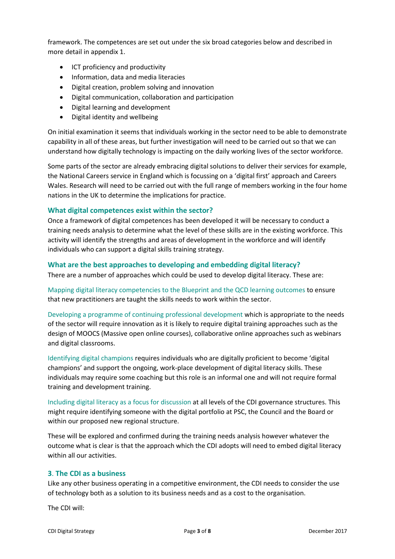framework. The competences are set out under the six broad categories below and described in more detail in appendix 1.

- ICT proficiency and productivity
- Information, data and media literacies
- Digital creation, problem solving and innovation
- Digital communication, collaboration and participation
- Digital learning and development
- Digital identity and wellbeing

On initial examination it seems that individuals working in the sector need to be able to demonstrate capability in all of these areas, but further investigation will need to be carried out so that we can understand how digitally technology is impacting on the daily working lives of the sector workforce.

Some parts of the sector are already embracing digital solutions to deliver their services for example, the National Careers service in England which is focussing on a 'digital first' approach and Careers Wales. Research will need to be carried out with the full range of members working in the four home nations in the UK to determine the implications for practice.

### **What digital competences exist within the sector?**

Once a framework of digital competences has been developed it will be necessary to conduct a training needs analysis to determine what the level of these skills are in the existing workforce. This activity will identify the strengths and areas of development in the workforce and will identify individuals who can support a digital skills training strategy.

### **What are the best approaches to developing and embedding digital literacy?**

There are a number of approaches which could be used to develop digital literacy. These are:

Mapping digital literacy competencies to the Blueprint and the QCD learning outcomes to ensure that new practitioners are taught the skills needs to work within the sector.

Developing a programme of continuing professional development which is appropriate to the needs of the sector will require innovation as it is likely to require digital training approaches such as the design of MOOCS (Massive open online courses), collaborative online approaches such as webinars and digital classrooms.

Identifying digital champions requires individuals who are digitally proficient to become 'digital champions' and support the ongoing, work-place development of digital literacy skills. These individuals may require some coaching but this role is an informal one and will not require formal training and development training.

Including digital literacy as a focus for discussion at all levels of the CDI governance structures. This might require identifying someone with the digital portfolio at PSC, the Council and the Board or within our proposed new regional structure.

These will be explored and confirmed during the training needs analysis however whatever the outcome what is clear is that the approach which the CDI adopts will need to embed digital literacy within all our activities.

### **3**. **The CDI as a business**

Like any other business operating in a competitive environment, the CDI needs to consider the use of technology both as a solution to its business needs and as a cost to the organisation.

The CDI will: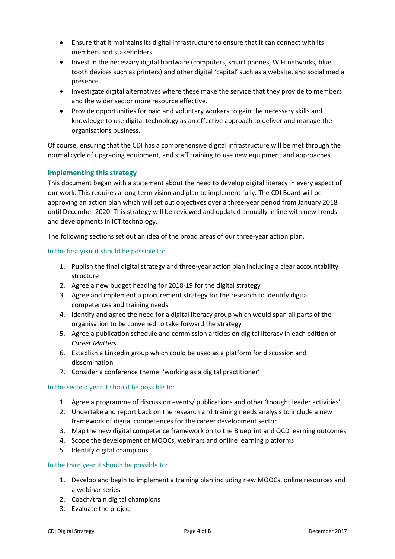- Ensure that it maintains its digital infrastructure to ensure that it can connect with its members and stakeholders.
- Invest in the necessary digital hardware (computers, smart phones, WiFi networks, blue tooth devices such as printers) and other digital 'capital' such as a website, and social media presence.
- Investigate digital alternatives where these make the service that they provide to members and the wider sector more resource effective.
- Provide opportunities for paid and voluntary workers to gain the necessary skills and knowledge to use digital technology as an effective approach to deliver and manage the organisations business.

Of course, ensuring that the CDI has a comprehensive digital infrastructure will be met through the normal cycle of upgrading equipment, and staff training to use new equipment and approaches.

## **Implementing this strategy**

This document began with a statement about the need to develop digital literacy in every aspect of our work. This requires a long-term vision and plan to implement fully. The CDI Board will be approving an action plan which will set out objectives over a three-year period from January 2018 until December 2020. This strategy will be reviewed and updated annually in line with new trends and developments in ICT technology.

The following sections set out an idea of the broad areas of our three-year action plan.

### In the first year it should be possible to:

- 1. Publish the final digital strategy and three-year action plan including a clear accountability structure
- 2. Agree a new budget heading for 2018-19 for the digital strategy
- 3. Agree and implement a procurement strategy for the research to identify digital competences and training needs
- 4. Identify and agree the need for a digital literacy group which would span all parts of the organisation to be convened to take forward the strategy
- 5. Agree a publication schedule and commission articles on digital literacy in each edition of *Career Matters*
- 6. Establish a Linkedin group which could be used as a platform for discussion and dissemination
- 7. Consider a conference theme: 'working as a digital practitioner'

### In the second year it should be possible to:

- 1. Agree a programme of discussion events/ publications and other 'thought leader activities'
- 2. Undertake and report back on the research and training needs analysis to include a new framework of digital competences for the career development sector
- 3. Map the new digital competence framework on to the Blueprint and QCD learning outcomes
- 4. Scope the development of MOOCs, webinars and online learning platforms
- 5. Identify digital champions

### In the third year it should be possible to:

- 1. Develop and begin to implement a training plan including new MOOCs, online resources and a webinar series
- 2. Coach/train digital champions
- 3. Evaluate the project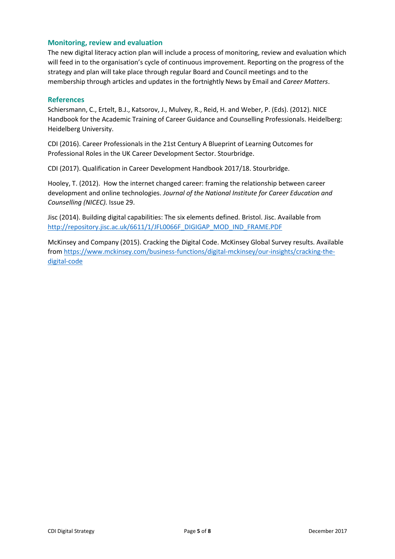### **Monitoring, review and evaluation**

The new digital literacy action plan will include a process of monitoring, review and evaluation which will feed in to the organisation's cycle of continuous improvement. Reporting on the progress of the strategy and plan will take place through regular Board and Council meetings and to the membership through articles and updates in the fortnightly News by Email and *Career Matters*.

### **References**

Schiersmann, C., Ertelt, B.J., Katsorov, J., Mulvey, R., Reid, H. and Weber, P. (Eds). (2012). NICE Handbook for the Academic Training of Career Guidance and Counselling Professionals. Heidelberg: Heidelberg University.

CDI (2016). Career Professionals in the 21st Century A Blueprint of Learning Outcomes for Professional Roles in the UK Career Development Sector. Stourbridge.

CDI (2017). Qualification in Career Development Handbook 2017/18. Stourbridge.

Hooley, T. (2012). How the internet changed career: framing the relationship between career development and online technologies. *Journal of the National Institute for Career Education and Counselling (NICEC).* Issue 29.

Jisc (2014). Building digital capabilities: The six elements defined. Bristol. Jisc. Available from [http://repository.jisc.ac.uk/6611/1/JFL0066F\\_DIGIGAP\\_MOD\\_IND\\_FRAME.PDF](http://repository.jisc.ac.uk/6611/1/JFL0066F_DIGIGAP_MOD_IND_FRAME.PDF)

McKinsey and Company (2015). Cracking the Digital Code. McKinsey Global Survey results. Available from [https://www.mckinsey.com/business-functions/digital-mckinsey/our-insights/cracking-the](https://www.mckinsey.com/business-functions/digital-mckinsey/our-insights/cracking-the-digital-code)[digital-code](https://www.mckinsey.com/business-functions/digital-mckinsey/our-insights/cracking-the-digital-code)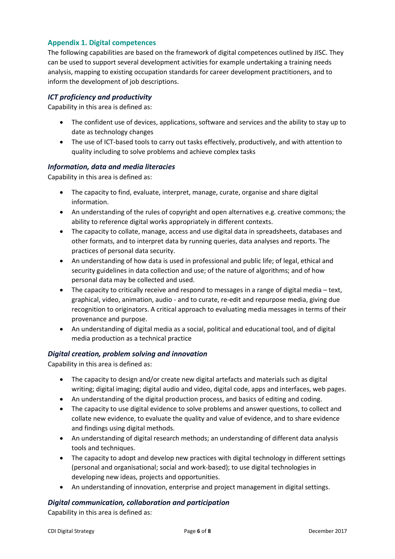# **Appendix 1. Digital competences**

The following capabilities are based on the framework of digital competences outlined by JISC. They can be used to support several development activities for example undertaking a training needs analysis, mapping to existing occupation standards for career development practitioners, and to inform the development of job descriptions.

### *ICT proficiency and productivity*

Capability in this area is defined as:

- The confident use of devices, applications, software and services and the ability to stay up to date as technology changes
- The use of ICT-based tools to carry out tasks effectively, productively, and with attention to quality including to solve problems and achieve complex tasks

### *Information, data and media literacies*

Capability in this area is defined as:

- The capacity to find, evaluate, interpret, manage, curate, organise and share digital information.
- An understanding of the rules of copyright and open alternatives e.g. creative commons; the ability to reference digital works appropriately in different contexts.
- The capacity to collate, manage, access and use digital data in spreadsheets, databases and other formats, and to interpret data by running queries, data analyses and reports. The practices of personal data security.
- An understanding of how data is used in professional and public life; of legal, ethical and security guidelines in data collection and use; of the nature of algorithms; and of how personal data may be collected and used.
- The capacity to critically receive and respond to messages in a range of digital media text, graphical, video, animation, audio - and to curate, re-edit and repurpose media, giving due recognition to originators. A critical approach to evaluating media messages in terms of their provenance and purpose.
- An understanding of digital media as a social, political and educational tool, and of digital media production as a technical practice

### *Digital creation, problem solving and innovation*

Capability in this area is defined as:

- The capacity to design and/or create new digital artefacts and materials such as digital writing; digital imaging; digital audio and video, digital code, apps and interfaces, web pages.
- An understanding of the digital production process, and basics of editing and coding.
- The capacity to use digital evidence to solve problems and answer questions, to collect and collate new evidence, to evaluate the quality and value of evidence, and to share evidence and findings using digital methods.
- An understanding of digital research methods; an understanding of different data analysis tools and techniques.
- The capacity to adopt and develop new practices with digital technology in different settings (personal and organisational; social and work-based); to use digital technologies in developing new ideas, projects and opportunities.
- An understanding of innovation, enterprise and project management in digital settings.

### *Digital communication, collaboration and participation*

Capability in this area is defined as: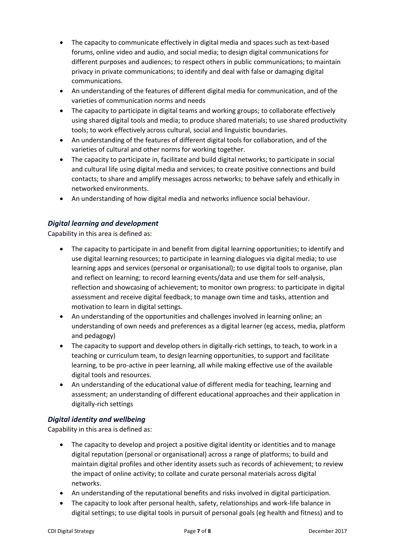- The capacity to communicate effectively in digital media and spaces such as text-based forums, online video and audio, and social media; to design digital communications for different purposes and audiences; to respect others in public communications; to maintain privacy in private communications; to identify and deal with false or damaging digital communications.
- An understanding of the features of different digital media for communication, and of the varieties of communication norms and needs
- The capacity to participate in digital teams and working groups; to collaborate effectively using shared digital tools and media; to produce shared materials; to use shared productivity tools; to work effectively across cultural, social and linguistic boundaries.
- An understanding of the features of different digital tools for collaboration, and of the varieties of cultural and other norms for working together.
- The capacity to participate in, facilitate and build digital networks; to participate in social and cultural life using digital media and services; to create positive connections and build contacts; to share and amplify messages across networks; to behave safely and ethically in networked environments.
- An understanding of how digital media and networks influence social behaviour.

# *Digital learning and development*

Capability in this area is defined as:

- The capacity to participate in and benefit from digital learning opportunities; to identify and use digital learning resources; to participate in learning dialogues via digital media; to use learning apps and services (personal or organisational); to use digital tools to organise, plan and reflect on learning; to record learning events/data and use them for self-analysis, reflection and showcasing of achievement; to monitor own progress: to participate in digital assessment and receive digital feedback; to manage own time and tasks, attention and motivation to learn in digital settings.
- An understanding of the opportunities and challenges involved in learning online; an understanding of own needs and preferences as a digital learner (eg access, media, platform and pedagogy)
- The capacity to support and develop others in digitally-rich settings, to teach, to work in a teaching or curriculum team, to design learning opportunities, to support and facilitate learning, to be pro-active in peer learning, all while making effective use of the available digital tools and resources.
- An understanding of the educational value of different media for teaching, learning and assessment; an understanding of different educational approaches and their application in digitally-rich settings

## *Digital identity and wellbeing*

Capability in this area is defined as:

- The capacity to develop and project a positive digital identity or identities and to manage digital reputation (personal or organisational) across a range of platforms; to build and maintain digital profiles and other identity assets such as records of achievement; to review the impact of online activity; to collate and curate personal materials across digital networks.
- An understanding of the reputational benefits and risks involved in digital participation.
- The capacity to look after personal health, safety, relationships and work-life balance in digital settings; to use digital tools in pursuit of personal goals (eg health and fitness) and to